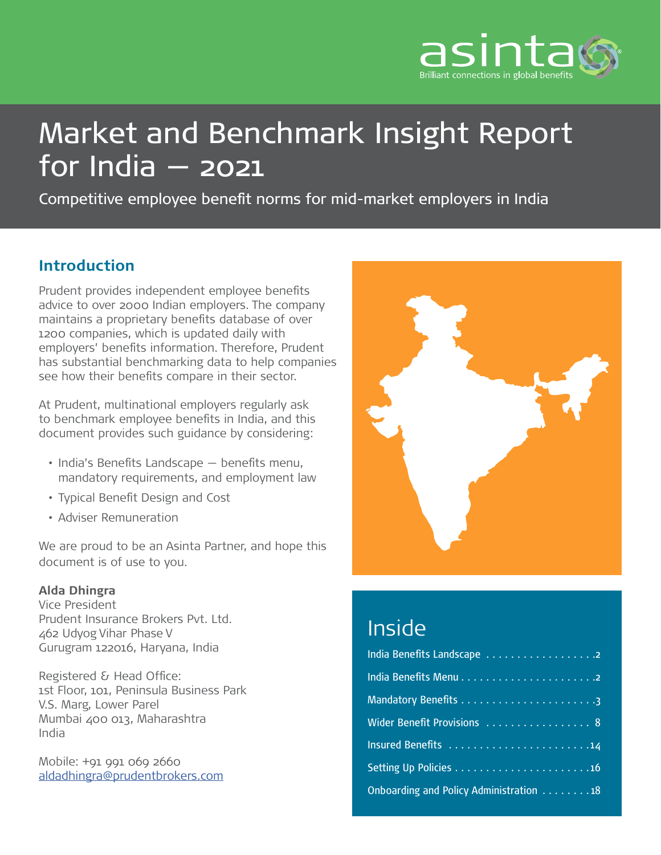

# Market and Benchmark Insight Report for India — 2021

Competitive employee benefit norms for mid-market employers in India

### **Introduction**

Prudent provides independent employee benefits advice to over 2000 Indian employers. The company maintains a proprietary benefits database of over 1200 companies, which is updated daily with employers' benefits information. Therefore, Prudent has substantial benchmarking data to help companies see how their benefits compare in their sector.

At Prudent, multinational employers regularly ask to benchmark employee benefits in India, and this document provides such guidance by considering:

- India's Benefits Landscape benefits menu, mandatory requirements, and employment law
- Typical Benefit Design and Cost
- Adviser Remuneration

We are proud to be an Asinta Partner, and hope this document is of use to you.

#### **Alda Dhingra**

Vice President Prudent Insurance Brokers Pvt. Ltd. 462 Udyog Vihar Phase V Gurugram 122016, Haryana, India

Registered & Head Office: 1st Floor, 101, Peninsula Business Park V.S. Marg, Lower Parel Mumbai 400 013, Maharashtra India

Mobile: +91 991 069 2660 [aldadhingra@prudentbrokers.com](mailto:aldadhingra%40prudentbrokers.com?subject=)



## Inside

| Wider Benefit Provisions  8             |
|-----------------------------------------|
|                                         |
|                                         |
| Onboarding and Policy Administration 18 |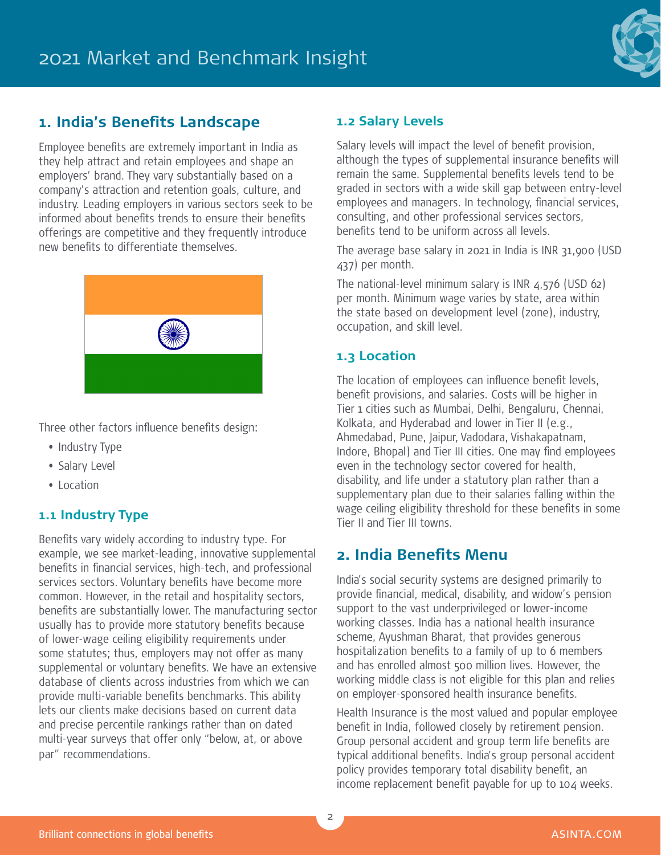

#### **1. India's Benefits Landscape**

Employee benefits are extremely important in India as they help attract and retain employees and shape an employers' brand. They vary substantially based on a company's attraction and retention goals, culture, and industry. Leading employers in various sectors seek to be informed about benefits trends to ensure their benefits offerings are competitive and they frequently introduce new benefits to differentiate themselves.



Three other factors influence benefits design:

- Industry Type
- Salary Level
- Location

#### **1.1 Industry Type**

Benefits vary widely according to industry type. For example, we see market-leading, innovative supplemental benefits in financial services, high-tech, and professional services sectors. Voluntary benefits have become more common. However, in the retail and hospitality sectors, benefits are substantially lower. The manufacturing sector usually has to provide more statutory benefits because of lower-wage ceiling eligibility requirements under some statutes; thus, employers may not offer as many supplemental or voluntary benefits. We have an extensive database of clients across industries from which we can provide multi-variable benefits benchmarks. This ability lets our clients make decisions based on current data and precise percentile rankings rather than on dated multi-year surveys that offer only "below, at, or above par" recommendations.

#### **1.2 Salary Levels**

Salary levels will impact the level of benefit provision, although the types of supplemental insurance benefits will remain the same. Supplemental benefits levels tend to be graded in sectors with a wide skill gap between entry-level employees and managers. In technology, financial services, consulting, and other professional services sectors, benefits tend to be uniform across all levels.

The average base salary in 2021 in India is INR 31,900 (USD 437) per month.

The national-level minimum salary is INR  $4,576$  (USD 62) per month. Minimum wage varies by state, area within the state based on development level (zone), industry, occupation, and skill level.

#### **1.3 Location**

The location of employees can influence benefit levels, benefit provisions, and salaries. Costs will be higher in Tier 1 cities such as Mumbai, Delhi, Bengaluru, Chennai, Kolkata, and Hyderabad and lower in Tier II (e.g., Ahmedabad, Pune, Jaipur, Vadodara, Vishakapatnam, Indore, Bhopal) and Tier III cities. One may find employees even in the technology sector covered for health, disability, and life under a statutory plan rather than a supplementary plan due to their salaries falling within the wage ceiling eligibility threshold for these benefits in some Tier II and Tier III towns.

#### **2. India Benefits Menu**

India's social security systems are designed primarily to provide financial, medical, disability, and widow's pension support to the vast underprivileged or lower-income working classes. India has a national health insurance scheme, Ayushman Bharat, that provides generous hospitalization benefits to a family of up to 6 members and has enrolled almost 500 million lives. However, the working middle class is not eligible for this plan and relies on employer-sponsored health insurance benefits.

Health Insurance is the most valued and popular employee benefit in India, followed closely by retirement pension. Group personal accident and group term life benefits are typical additional benefits. India's group personal accident policy provides temporary total disability benefit, an income replacement benefit payable for up to 104 weeks.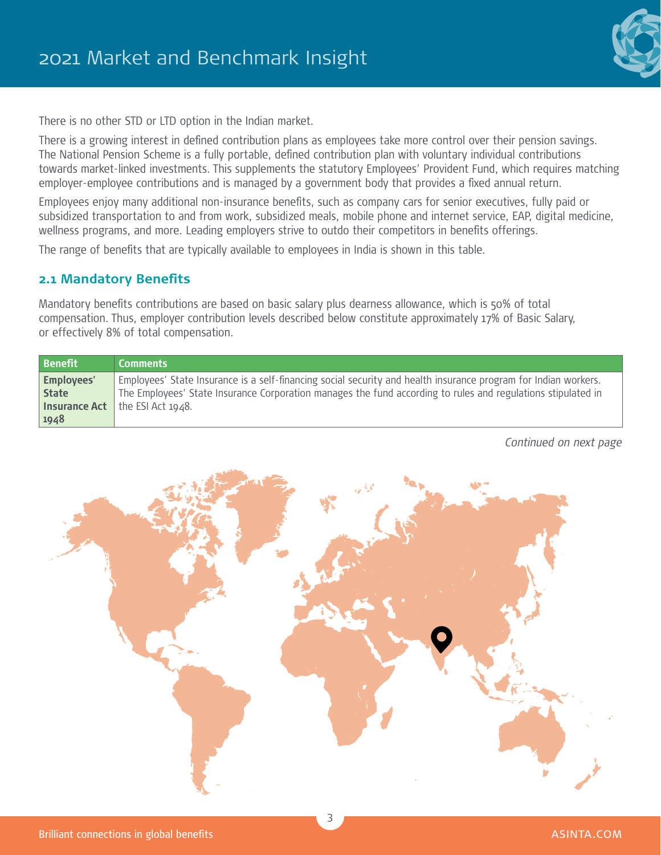

There is no other STD or LTD option in the Indian market.

There is a growing interest in defined contribution plans as employees take more control over their pension savings. The National Pension Scheme is a fully portable, defined contribution plan with voluntary individual contributions towards market-linked investments. This supplements the statutory Employees' Provident Fund, which requires matching employer-employee contributions and is managed by a government body that provides a fixed annual return.

Employees enjoy many additional non-insurance benefits, such as company cars for senior executives, fully paid or subsidized transportation to and from work, subsidized meals, mobile phone and internet service, EAP, digital medicine, wellness programs, and more. Leading employers strive to outdo their competitors in benefits offerings.

The range of benefits that are typically available to employees in India is shown in this table.

#### **2.1 Mandatory Benefits**

Mandatory benefits contributions are based on basic salary plus dearness allowance, which is 50% of total compensation. Thus, employer contribution levels described below constitute approximately 17% of Basic Salary, or effectively 8% of total compensation.

| <b>Benefit</b>    | <b>Comments</b>                                                                                                 |
|-------------------|-----------------------------------------------------------------------------------------------------------------|
| <b>Employees'</b> | Employees' State Insurance is a self-financing social security and health insurance program for Indian workers. |
| <b>State</b>      | The Employees' State Insurance Corporation manages the fund according to rules and regulations stipulated in    |
|                   | <b>Insurance Act</b> $\vert$ the ESI Act 1948.                                                                  |
| 1948              |                                                                                                                 |

*Continued on next page*

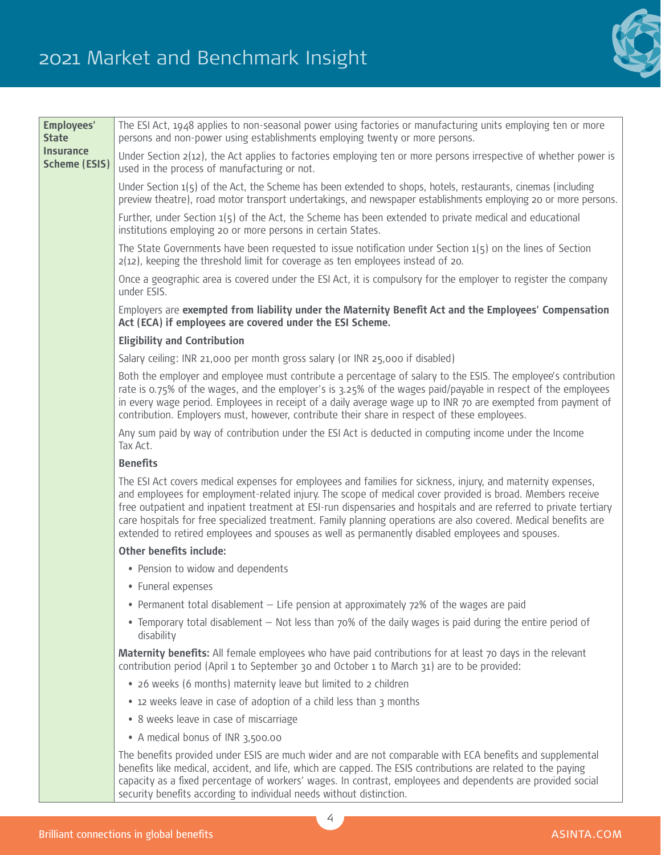## 2021 Market and Benchmark Insight



| <b>Employees'</b><br><b>State</b>        | The ESI Act, 1948 applies to non-seasonal power using factories or manufacturing units employing ten or more<br>persons and non-power using establishments employing twenty or more persons.                                                                                                                                                                                                                                                                                                                                                                             |
|------------------------------------------|--------------------------------------------------------------------------------------------------------------------------------------------------------------------------------------------------------------------------------------------------------------------------------------------------------------------------------------------------------------------------------------------------------------------------------------------------------------------------------------------------------------------------------------------------------------------------|
| <b>Insurance</b><br><b>Scheme (ESIS)</b> | Under Section $2(12)$ , the Act applies to factories employing ten or more persons irrespective of whether power is<br>used in the process of manufacturing or not.                                                                                                                                                                                                                                                                                                                                                                                                      |
|                                          | Under Section $1(5)$ of the Act, the Scheme has been extended to shops, hotels, restaurants, cinemas (including<br>preview theatre), road motor transport undertakings, and newspaper establishments employing 20 or more persons.                                                                                                                                                                                                                                                                                                                                       |
|                                          | Further, under Section $1(5)$ of the Act, the Scheme has been extended to private medical and educational<br>institutions employing 20 or more persons in certain States.                                                                                                                                                                                                                                                                                                                                                                                                |
|                                          | The State Governments have been requested to issue notification under Section $1(5)$ on the lines of Section<br>$2(12)$ , keeping the threshold limit for coverage as ten employees instead of 20.                                                                                                                                                                                                                                                                                                                                                                       |
|                                          | Once a geographic area is covered under the ESI Act, it is compulsory for the employer to register the company<br>under ESIS.                                                                                                                                                                                                                                                                                                                                                                                                                                            |
|                                          | Employers are exempted from liability under the Maternity Benefit Act and the Employees' Compensation<br>Act (ECA) if employees are covered under the ESI Scheme.                                                                                                                                                                                                                                                                                                                                                                                                        |
|                                          | <b>Eligibility and Contribution</b>                                                                                                                                                                                                                                                                                                                                                                                                                                                                                                                                      |
|                                          | Salary ceiling: INR 21,000 per month gross salary (or INR 25,000 if disabled)                                                                                                                                                                                                                                                                                                                                                                                                                                                                                            |
|                                          | Both the employer and employee must contribute a percentage of salary to the ESIS. The employee's contribution<br>rate is 0.75% of the wages, and the employer's is 3.25% of the wages paid/payable in respect of the employees<br>in every wage period. Employees in receipt of a daily average wage up to INR 70 are exempted from payment of<br>contribution. Employers must, however, contribute their share in respect of these employees.                                                                                                                          |
|                                          | Any sum paid by way of contribution under the ESI Act is deducted in computing income under the Income<br>Tax Act.                                                                                                                                                                                                                                                                                                                                                                                                                                                       |
|                                          | <b>Benefits</b>                                                                                                                                                                                                                                                                                                                                                                                                                                                                                                                                                          |
|                                          | The ESI Act covers medical expenses for employees and families for sickness, injury, and maternity expenses,<br>and employees for employment-related injury. The scope of medical cover provided is broad. Members receive<br>free outpatient and inpatient treatment at ESI-run dispensaries and hospitals and are referred to private tertiary<br>care hospitals for free specialized treatment. Family planning operations are also covered. Medical benefits are<br>extended to retired employees and spouses as well as permanently disabled employees and spouses. |
|                                          | Other benefits include:                                                                                                                                                                                                                                                                                                                                                                                                                                                                                                                                                  |
|                                          | • Pension to widow and dependents                                                                                                                                                                                                                                                                                                                                                                                                                                                                                                                                        |
|                                          | • Funeral expenses                                                                                                                                                                                                                                                                                                                                                                                                                                                                                                                                                       |
|                                          | • Permanent total disablement – Life pension at approximately 72% of the wages are paid                                                                                                                                                                                                                                                                                                                                                                                                                                                                                  |
|                                          | • Temporary total disablement – Not less than 70% of the daily wages is paid during the entire period of<br>disability                                                                                                                                                                                                                                                                                                                                                                                                                                                   |
|                                          | Maternity benefits: All female employees who have paid contributions for at least 70 days in the relevant<br>contribution period (April 1 to September 30 and October 1 to March 31) are to be provided:                                                                                                                                                                                                                                                                                                                                                                 |
|                                          | • 26 weeks (6 months) maternity leave but limited to 2 children                                                                                                                                                                                                                                                                                                                                                                                                                                                                                                          |
|                                          | • 12 weeks leave in case of adoption of a child less than 3 months                                                                                                                                                                                                                                                                                                                                                                                                                                                                                                       |
|                                          | • 8 weeks leave in case of miscarriage                                                                                                                                                                                                                                                                                                                                                                                                                                                                                                                                   |
|                                          | • A medical bonus of INR 3,500.00                                                                                                                                                                                                                                                                                                                                                                                                                                                                                                                                        |
|                                          | The benefits provided under ESIS are much wider and are not comparable with ECA benefits and supplemental<br>benefits like medical, accident, and life, which are capped. The ESIS contributions are related to the paying<br>capacity as a fixed percentage of workers' wages. In contrast, employees and dependents are provided social<br>security benefits according to individual needs without distinction.                                                                                                                                                        |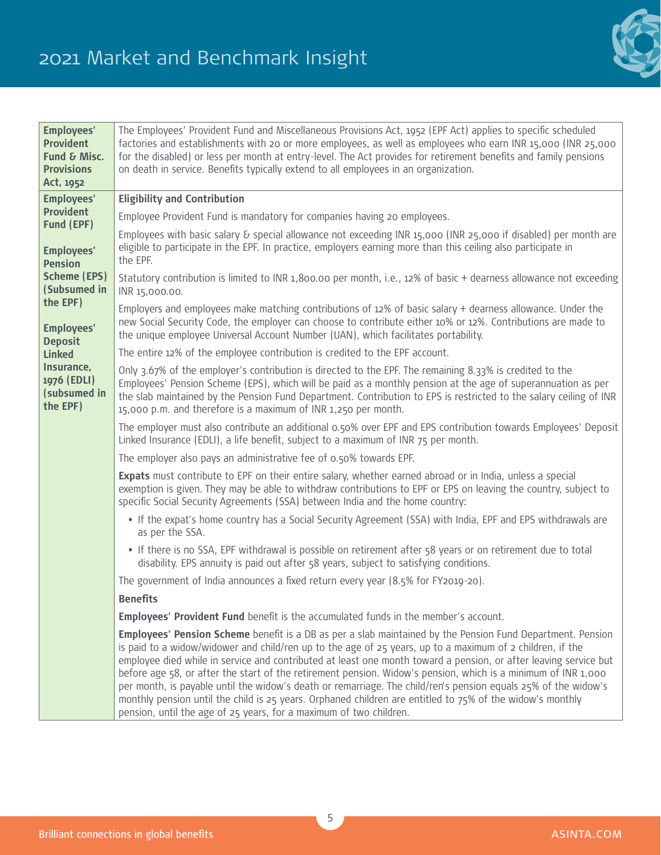

| <b>Employees'</b><br><b>Provident</b><br>Fund & Misc.<br><b>Provisions</b><br>Act, 1952 | The Employees' Provident Fund and Miscellaneous Provisions Act, 1952 (EPF Act) applies to specific scheduled<br>factories and establishments with 20 or more employees, as well as employees who earn INR 15,000 (INR 25,000<br>for the disabled) or less per month at entry-level. The Act provides for retirement benefits and family pensions<br>on death in service. Benefits typically extend to all employees in an organization.                                                                                                                                                                                                                                                                                                                                  |
|-----------------------------------------------------------------------------------------|--------------------------------------------------------------------------------------------------------------------------------------------------------------------------------------------------------------------------------------------------------------------------------------------------------------------------------------------------------------------------------------------------------------------------------------------------------------------------------------------------------------------------------------------------------------------------------------------------------------------------------------------------------------------------------------------------------------------------------------------------------------------------|
| <b>Employees'</b>                                                                       | <b>Eligibility and Contribution</b>                                                                                                                                                                                                                                                                                                                                                                                                                                                                                                                                                                                                                                                                                                                                      |
| <b>Provident</b>                                                                        | Employee Provident Fund is mandatory for companies having 20 employees.                                                                                                                                                                                                                                                                                                                                                                                                                                                                                                                                                                                                                                                                                                  |
| Fund (EPF)<br><b>Employees'</b><br><b>Pension</b>                                       | Employees with basic salary & special allowance not exceeding INR 15,000 (INR 25,000 if disabled) per month are<br>eligible to participate in the EPF. In practice, employers earning more than this ceiling also participate in<br>the EPF.                                                                                                                                                                                                                                                                                                                                                                                                                                                                                                                             |
| <b>Scheme (EPS)</b><br>(Subsumed in                                                     | Statutory contribution is limited to INR 1,800.00 per month, i.e., 12% of basic + dearness allowance not exceeding<br>INR 15,000.00.                                                                                                                                                                                                                                                                                                                                                                                                                                                                                                                                                                                                                                     |
| the EPF)<br><b>Employees'</b><br><b>Deposit</b>                                         | Employers and employees make matching contributions of 12% of basic salary + dearness allowance. Under the<br>new Social Security Code, the employer can choose to contribute either 10% or 12%. Contributions are made to<br>the unique employee Universal Account Number (UAN), which facilitates portability.                                                                                                                                                                                                                                                                                                                                                                                                                                                         |
| <b>Linked</b>                                                                           | The entire 12% of the employee contribution is credited to the EPF account.                                                                                                                                                                                                                                                                                                                                                                                                                                                                                                                                                                                                                                                                                              |
| Insurance,<br>1976 (EDLI)<br>(subsumed in<br>the EPF)                                   | Only 3.67% of the employer's contribution is directed to the EPF. The remaining 8.33% is credited to the<br>Employees' Pension Scheme (EPS), which will be paid as a monthly pension at the age of superannuation as per<br>the slab maintained by the Pension Fund Department. Contribution to EPS is restricted to the salary ceiling of INR<br>15,000 p.m. and therefore is a maximum of INR 1,250 per month.                                                                                                                                                                                                                                                                                                                                                         |
|                                                                                         | The employer must also contribute an additional 0.50% over EPF and EPS contribution towards Employees' Deposit<br>Linked Insurance (EDLI), a life benefit, subject to a maximum of INR 75 per month.                                                                                                                                                                                                                                                                                                                                                                                                                                                                                                                                                                     |
|                                                                                         | The employer also pays an administrative fee of 0.50% towards EPF.                                                                                                                                                                                                                                                                                                                                                                                                                                                                                                                                                                                                                                                                                                       |
|                                                                                         | Expats must contribute to EPF on their entire salary, whether earned abroad or in India, unless a special<br>exemption is given. They may be able to withdraw contributions to EPF or EPS on leaving the country, subject to<br>specific Social Security Agreements (SSA) between India and the home country:                                                                                                                                                                                                                                                                                                                                                                                                                                                            |
|                                                                                         | • If the expat's home country has a Social Security Agreement (SSA) with India, EPF and EPS withdrawals are<br>as per the SSA.                                                                                                                                                                                                                                                                                                                                                                                                                                                                                                                                                                                                                                           |
|                                                                                         | • If there is no SSA, EPF withdrawal is possible on retirement after 58 years or on retirement due to total<br>disability. EPS annuity is paid out after 58 years, subject to satisfying conditions.                                                                                                                                                                                                                                                                                                                                                                                                                                                                                                                                                                     |
|                                                                                         | The government of India announces a fixed return every year (8.5% for FY2019-20).                                                                                                                                                                                                                                                                                                                                                                                                                                                                                                                                                                                                                                                                                        |
|                                                                                         | <b>Benefits</b>                                                                                                                                                                                                                                                                                                                                                                                                                                                                                                                                                                                                                                                                                                                                                          |
|                                                                                         | Employees' Provident Fund benefit is the accumulated funds in the member's account.                                                                                                                                                                                                                                                                                                                                                                                                                                                                                                                                                                                                                                                                                      |
|                                                                                         | <b>Employees' Pension Scheme</b> benefit is a DB as per a slab maintained by the Pension Fund Department. Pension<br>is paid to a widow/widower and child/ren up to the age of 25 years, up to a maximum of 2 children, if the<br>employee died while in service and contributed at least one month toward a pension, or after leaving service but<br>before age 58, or after the start of the retirement pension. Widow's pension, which is a minimum of INR 1,000<br>per month, is payable until the widow's death or remarriage. The child/ren's pension equals 25% of the widow's<br>monthly pension until the child is 25 years. Orphaned children are entitled to 75% of the widow's monthly<br>pension, until the age of 25 years, for a maximum of two children. |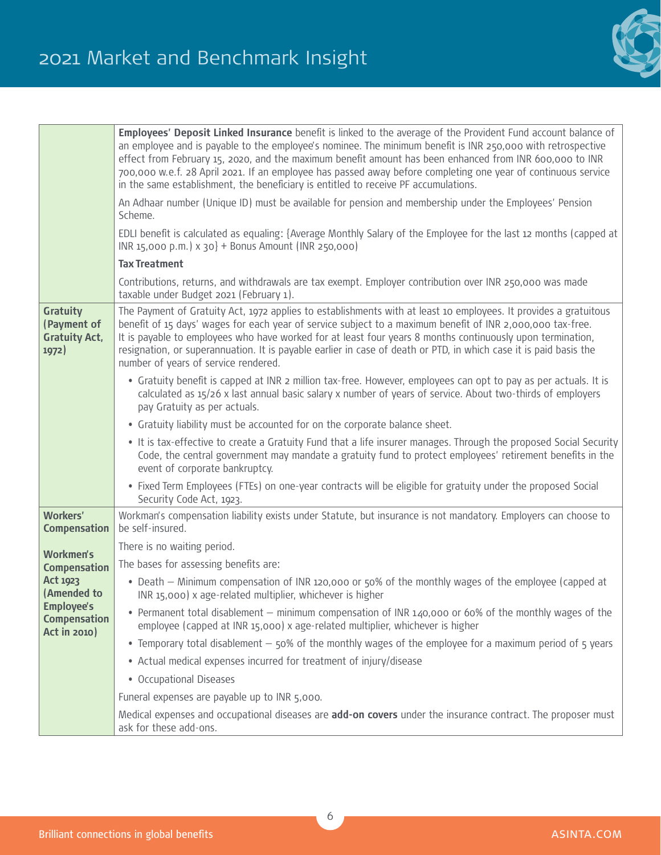

|                                                                 | Employees' Deposit Linked Insurance benefit is linked to the average of the Provident Fund account balance of<br>an employee and is payable to the employee's nominee. The minimum benefit is INR 250,000 with retrospective<br>effect from February 15, 2020, and the maximum benefit amount has been enhanced from INR 600,000 to INR<br>700,000 w.e.f. 28 April 2021. If an employee has passed away before completing one year of continuous service<br>in the same establishment, the beneficiary is entitled to receive PF accumulations. |
|-----------------------------------------------------------------|-------------------------------------------------------------------------------------------------------------------------------------------------------------------------------------------------------------------------------------------------------------------------------------------------------------------------------------------------------------------------------------------------------------------------------------------------------------------------------------------------------------------------------------------------|
|                                                                 | An Adhaar number (Unique ID) must be available for pension and membership under the Employees' Pension<br>Scheme.                                                                                                                                                                                                                                                                                                                                                                                                                               |
|                                                                 | EDLI benefit is calculated as equaling: {Average Monthly Salary of the Employee for the last 12 months (capped at<br>INR 15,000 p.m.) x 30} + Bonus Amount (INR 250,000)                                                                                                                                                                                                                                                                                                                                                                        |
|                                                                 | <b>Tax Treatment</b>                                                                                                                                                                                                                                                                                                                                                                                                                                                                                                                            |
|                                                                 | Contributions, returns, and withdrawals are tax exempt. Employer contribution over INR 250,000 was made<br>taxable under Budget 2021 (February 1).                                                                                                                                                                                                                                                                                                                                                                                              |
| <b>Gratuity</b><br>(Payment of<br><b>Gratuity Act,</b><br>1972) | The Payment of Gratuity Act, 1972 applies to establishments with at least 10 employees. It provides a gratuitous<br>benefit of 15 days' wages for each year of service subject to a maximum benefit of INR 2,000,000 tax-free.<br>It is payable to employees who have worked for at least four years 8 months continuously upon termination,<br>resignation, or superannuation. It is payable earlier in case of death or PTD, in which case it is paid basis the<br>number of years of service rendered.                                       |
|                                                                 | • Gratuity benefit is capped at INR 2 million tax-free. However, employees can opt to pay as per actuals. It is<br>calculated as 15/26 x last annual basic salary x number of years of service. About two-thirds of employers<br>pay Gratuity as per actuals.                                                                                                                                                                                                                                                                                   |
|                                                                 | • Gratuity liability must be accounted for on the corporate balance sheet.                                                                                                                                                                                                                                                                                                                                                                                                                                                                      |
|                                                                 | . It is tax-effective to create a Gratuity Fund that a life insurer manages. Through the proposed Social Security<br>Code, the central government may mandate a gratuity fund to protect employees' retirement benefits in the<br>event of corporate bankruptcy.                                                                                                                                                                                                                                                                                |
|                                                                 | • Fixed Term Employees (FTEs) on one-year contracts will be eligible for gratuity under the proposed Social<br>Security Code Act, 1923.                                                                                                                                                                                                                                                                                                                                                                                                         |
| <b>Workers'</b><br><b>Compensation</b>                          | Workman's compensation liability exists under Statute, but insurance is not mandatory. Employers can choose to<br>be self-insured.                                                                                                                                                                                                                                                                                                                                                                                                              |
| <b>Workmen's</b>                                                | There is no waiting period.                                                                                                                                                                                                                                                                                                                                                                                                                                                                                                                     |
| <b>Compensation</b>                                             | The bases for assessing benefits are:                                                                                                                                                                                                                                                                                                                                                                                                                                                                                                           |
| <b>Act 1923</b><br>(Amended to                                  | • Death – Minimum compensation of INR 120,000 or 50% of the monthly wages of the employee (capped at<br>INR 15,000) x age-related multiplier, whichever is higher                                                                                                                                                                                                                                                                                                                                                                               |
| <b>Employee's</b><br><b>Compensation</b><br><b>Act in 2010)</b> | • Permanent total disablement - minimum compensation of INR 140,000 or 60% of the monthly wages of the<br>employee (capped at INR 15,000) x age-related multiplier, whichever is higher                                                                                                                                                                                                                                                                                                                                                         |
|                                                                 | • Temporary total disablement - 50% of the monthly wages of the employee for a maximum period of 5 years                                                                                                                                                                                                                                                                                                                                                                                                                                        |
|                                                                 | • Actual medical expenses incurred for treatment of injury/disease                                                                                                                                                                                                                                                                                                                                                                                                                                                                              |
|                                                                 | • Occupational Diseases                                                                                                                                                                                                                                                                                                                                                                                                                                                                                                                         |
|                                                                 | Funeral expenses are payable up to INR 5,000.                                                                                                                                                                                                                                                                                                                                                                                                                                                                                                   |
|                                                                 | Medical expenses and occupational diseases are add-on covers under the insurance contract. The proposer must<br>ask for these add-ons.                                                                                                                                                                                                                                                                                                                                                                                                          |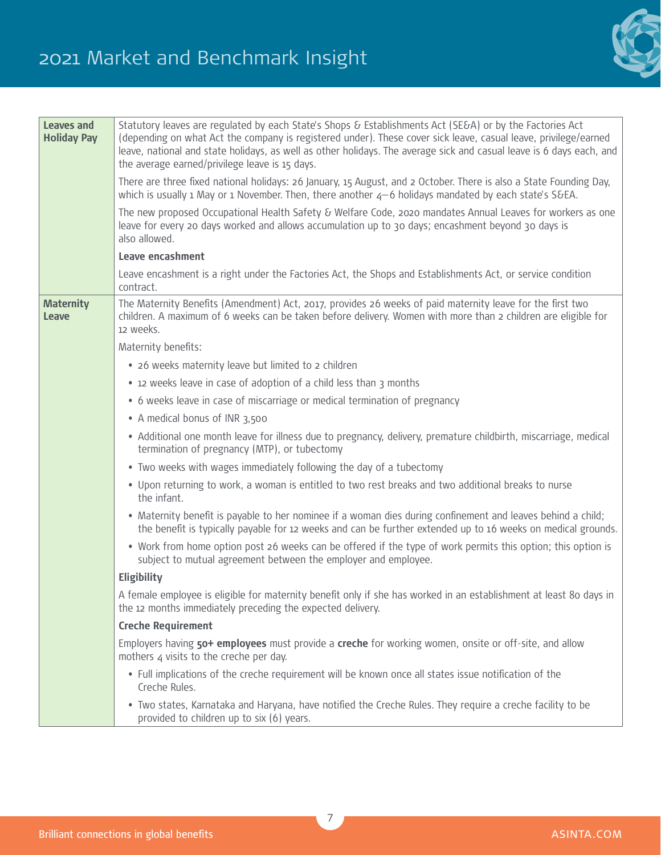

| <b>Leaves and</b><br><b>Holiday Pay</b> | Statutory leaves are regulated by each State's Shops & Establishments Act (SE&A) or by the Factories Act<br>(depending on what Act the company is registered under). These cover sick leave, casual leave, privilege/earned<br>leave, national and state holidays, as well as other holidays. The average sick and casual leave is 6 days each, and<br>the average earned/privilege leave is 15 days. |
|-----------------------------------------|-------------------------------------------------------------------------------------------------------------------------------------------------------------------------------------------------------------------------------------------------------------------------------------------------------------------------------------------------------------------------------------------------------|
|                                         | There are three fixed national holidays: 26 January, 15 August, and 2 October. There is also a State Founding Day,<br>which is usually 1 May or 1 November. Then, there another $4-6$ holidays mandated by each state's S&EA.                                                                                                                                                                         |
|                                         | The new proposed Occupational Health Safety & Welfare Code, 2020 mandates Annual Leaves for workers as one<br>leave for every 20 days worked and allows accumulation up to 30 days; encashment beyond 30 days is<br>also allowed.                                                                                                                                                                     |
|                                         | Leave encashment                                                                                                                                                                                                                                                                                                                                                                                      |
|                                         | Leave encashment is a right under the Factories Act, the Shops and Establishments Act, or service condition<br>contract.                                                                                                                                                                                                                                                                              |
| <b>Maternity</b><br>Leave               | The Maternity Benefits (Amendment) Act, 2017, provides 26 weeks of paid maternity leave for the first two<br>children. A maximum of 6 weeks can be taken before delivery. Women with more than 2 children are eligible for<br>12 weeks.                                                                                                                                                               |
|                                         | Maternity benefits:                                                                                                                                                                                                                                                                                                                                                                                   |
|                                         | • 26 weeks maternity leave but limited to 2 children                                                                                                                                                                                                                                                                                                                                                  |
|                                         | • 12 weeks leave in case of adoption of a child less than 3 months                                                                                                                                                                                                                                                                                                                                    |
|                                         | • 6 weeks leave in case of miscarriage or medical termination of pregnancy                                                                                                                                                                                                                                                                                                                            |
|                                         | • A medical bonus of INR 3,500                                                                                                                                                                                                                                                                                                                                                                        |
|                                         | • Additional one month leave for illness due to pregnancy, delivery, premature childbirth, miscarriage, medical<br>termination of pregnancy (MTP), or tubectomy                                                                                                                                                                                                                                       |
|                                         | • Two weeks with wages immediately following the day of a tubectomy                                                                                                                                                                                                                                                                                                                                   |
|                                         | . Upon returning to work, a woman is entitled to two rest breaks and two additional breaks to nurse<br>the infant.                                                                                                                                                                                                                                                                                    |
|                                         | • Maternity benefit is payable to her nominee if a woman dies during confinement and leaves behind a child;<br>the benefit is typically payable for 12 weeks and can be further extended up to 16 weeks on medical grounds.                                                                                                                                                                           |
|                                         | • Work from home option post 26 weeks can be offered if the type of work permits this option; this option is<br>subject to mutual agreement between the employer and employee.                                                                                                                                                                                                                        |
|                                         | Eligibility                                                                                                                                                                                                                                                                                                                                                                                           |
|                                         | A female employee is eligible for maternity benefit only if she has worked in an establishment at least 80 days in<br>the 12 months immediately preceding the expected delivery.                                                                                                                                                                                                                      |
|                                         | <b>Creche Requirement</b>                                                                                                                                                                                                                                                                                                                                                                             |
|                                         | Employers having 50+ employees must provide a creche for working women, onsite or off-site, and allow<br>mothers 4 visits to the creche per day.                                                                                                                                                                                                                                                      |
|                                         | . Full implications of the creche requirement will be known once all states issue notification of the<br>Creche Rules.                                                                                                                                                                                                                                                                                |
|                                         | . Two states, Karnataka and Haryana, have notified the Creche Rules. They require a creche facility to be<br>provided to children up to six (6) years.                                                                                                                                                                                                                                                |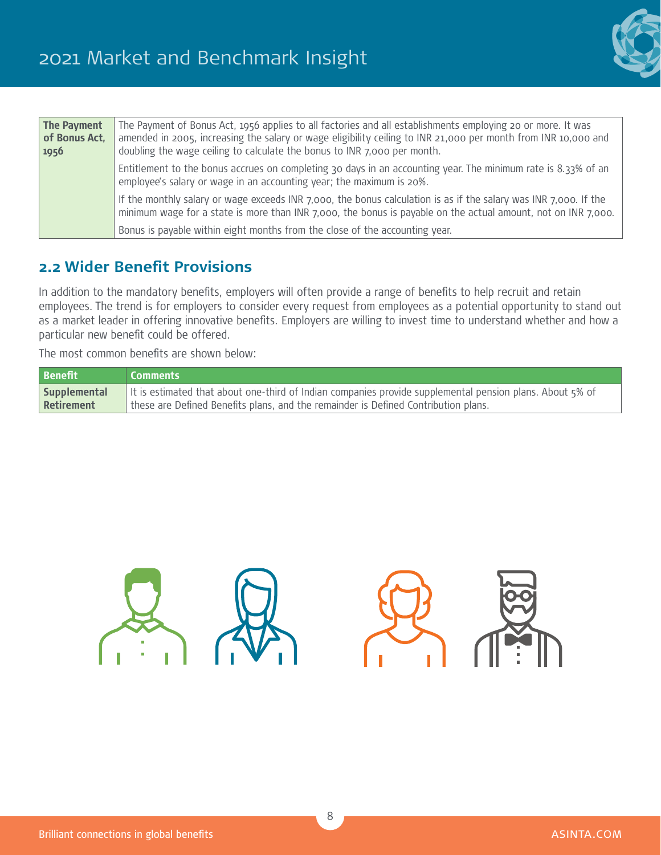

| The Payment<br>of Bonus Act, | The Payment of Bonus Act, 1956 applies to all factories and all establishments employing 20 or more. It was<br>amended in 2005, increasing the salary or wage eligibility ceiling to INR 21,000 per month from INR 10,000 and     |
|------------------------------|-----------------------------------------------------------------------------------------------------------------------------------------------------------------------------------------------------------------------------------|
| 1956                         | doubling the wage ceiling to calculate the bonus to INR 7,000 per month.                                                                                                                                                          |
|                              | Entitlement to the bonus accrues on completing 30 days in an accounting year. The minimum rate is 8.33% of an<br>employee's salary or wage in an accounting year; the maximum is 20%.                                             |
|                              | If the monthly salary or wage exceeds INR 7,000, the bonus calculation is as if the salary was INR 7,000. If the<br>minimum wage for a state is more than INR 7,000, the bonus is payable on the actual amount, not on INR 7,000. |
|                              | Bonus is payable within eight months from the close of the accounting year.                                                                                                                                                       |

### **2.2 Wider Benefit Provisions**

In addition to the mandatory benefits, employers will often provide a range of benefits to help recruit and retain employees. The trend is for employers to consider every request from employees as a potential opportunity to stand out as a market leader in offering innovative benefits. Employers are willing to invest time to understand whether and how a particular new benefit could be offered.

The most common benefits are shown below:

| <b>Benefit</b>      | Comments                                                                                                 |
|---------------------|----------------------------------------------------------------------------------------------------------|
| <b>Supplemental</b> | It is estimated that about one-third of Indian companies provide supplemental pension plans. About 5% of |
| <b>Retirement</b>   | these are Defined Benefits plans, and the remainder is Defined Contribution plans.                       |

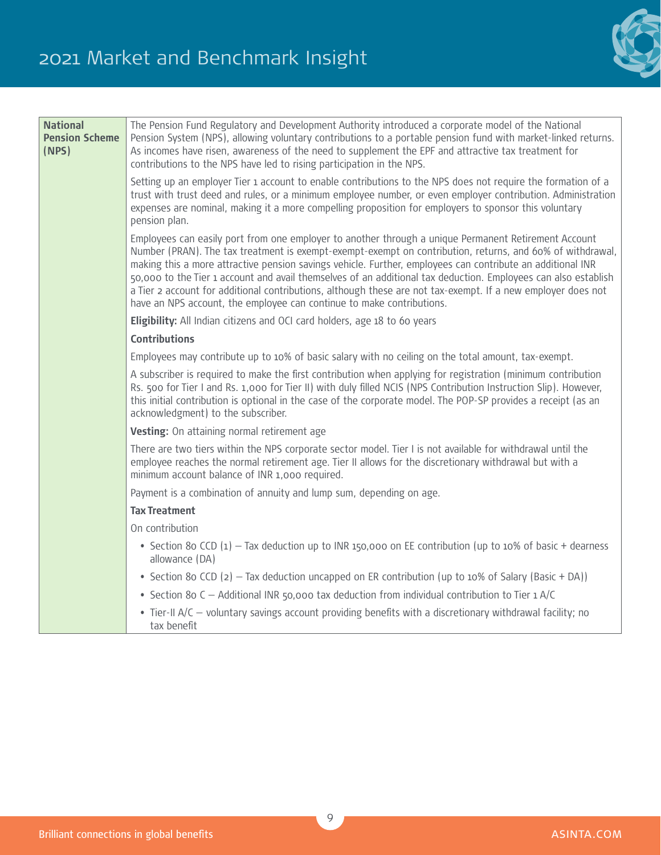

| <b>National</b><br><b>Pension Scheme</b><br>(NPS) | The Pension Fund Regulatory and Development Authority introduced a corporate model of the National<br>Pension System (NPS), allowing voluntary contributions to a portable pension fund with market-linked returns.<br>As incomes have risen, awareness of the need to supplement the EPF and attractive tax treatment for<br>contributions to the NPS have led to rising participation in the NPS.                                                                                                                                                                                                                                        |
|---------------------------------------------------|--------------------------------------------------------------------------------------------------------------------------------------------------------------------------------------------------------------------------------------------------------------------------------------------------------------------------------------------------------------------------------------------------------------------------------------------------------------------------------------------------------------------------------------------------------------------------------------------------------------------------------------------|
|                                                   | Setting up an employer Tier 1 account to enable contributions to the NPS does not require the formation of a<br>trust with trust deed and rules, or a minimum employee number, or even employer contribution. Administration<br>expenses are nominal, making it a more compelling proposition for employers to sponsor this voluntary<br>pension plan.                                                                                                                                                                                                                                                                                     |
|                                                   | Employees can easily port from one employer to another through a unique Permanent Retirement Account<br>Number (PRAN). The tax treatment is exempt-exempt-exempt on contribution, returns, and 60% of withdrawal,<br>making this a more attractive pension savings vehicle. Further, employees can contribute an additional INR<br>50,000 to the Tier 1 account and avail themselves of an additional tax deduction. Employees can also establish<br>a Tier 2 account for additional contributions, although these are not tax-exempt. If a new employer does not<br>have an NPS account, the employee can continue to make contributions. |
|                                                   | Eligibility: All Indian citizens and OCI card holders, age 18 to 60 years                                                                                                                                                                                                                                                                                                                                                                                                                                                                                                                                                                  |
|                                                   | <b>Contributions</b>                                                                                                                                                                                                                                                                                                                                                                                                                                                                                                                                                                                                                       |
|                                                   | Employees may contribute up to 10% of basic salary with no ceiling on the total amount, tax-exempt.                                                                                                                                                                                                                                                                                                                                                                                                                                                                                                                                        |
|                                                   | A subscriber is required to make the first contribution when applying for registration (minimum contribution<br>Rs. 500 for Tier I and Rs. 1,000 for Tier II) with duly filled NCIS (NPS Contribution Instruction Slip). However,<br>this initial contribution is optional in the case of the corporate model. The POP-SP provides a receipt (as an<br>acknowledgment) to the subscriber.                                                                                                                                                                                                                                                  |
|                                                   | Vesting: On attaining normal retirement age                                                                                                                                                                                                                                                                                                                                                                                                                                                                                                                                                                                                |
|                                                   | There are two tiers within the NPS corporate sector model. Tier I is not available for withdrawal until the<br>employee reaches the normal retirement age. Tier II allows for the discretionary withdrawal but with a<br>minimum account balance of INR 1,000 required.                                                                                                                                                                                                                                                                                                                                                                    |
|                                                   | Payment is a combination of annuity and lump sum, depending on age.                                                                                                                                                                                                                                                                                                                                                                                                                                                                                                                                                                        |
|                                                   | <b>Tax Treatment</b>                                                                                                                                                                                                                                                                                                                                                                                                                                                                                                                                                                                                                       |
|                                                   | On contribution                                                                                                                                                                                                                                                                                                                                                                                                                                                                                                                                                                                                                            |
|                                                   | • Section 8o CCD $(1)$ – Tax deduction up to INR 150,000 on EE contribution (up to 10% of basic + dearness<br>allowance (DA)                                                                                                                                                                                                                                                                                                                                                                                                                                                                                                               |
|                                                   | • Section 8o CCD (2) - Tax deduction uncapped on ER contribution (up to 10% of Salary (Basic + DA))                                                                                                                                                                                                                                                                                                                                                                                                                                                                                                                                        |
|                                                   | • Section 8o C - Additional INR 50,000 tax deduction from individual contribution to Tier 1 A/C                                                                                                                                                                                                                                                                                                                                                                                                                                                                                                                                            |
|                                                   | • Tier-II A/C – voluntary savings account providing benefits with a discretionary withdrawal facility; no<br>tax benefit                                                                                                                                                                                                                                                                                                                                                                                                                                                                                                                   |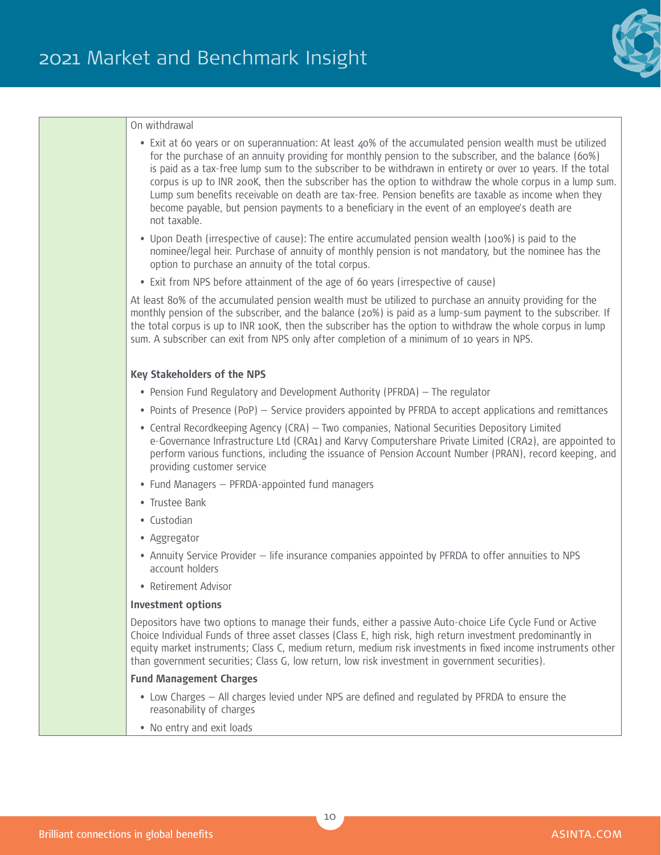

#### On withdrawal

- Exit at 60 years or on superannuation: At least 40% of the accumulated pension wealth must be utilized for the purchase of an annuity providing for monthly pension to the subscriber, and the balance (60%) is paid as a tax-free lump sum to the subscriber to be withdrawn in entirety or over 10 years. If the total corpus is up to INR 200K, then the subscriber has the option to withdraw the whole corpus in a lump sum. Lump sum benefits receivable on death are tax-free. Pension benefits are taxable as income when they become payable, but pension payments to a beneficiary in the event of an employee's death are not taxable.
- Upon Death (irrespective of cause): The entire accumulated pension wealth (100%) is paid to the nominee/legal heir. Purchase of annuity of monthly pension is not mandatory, but the nominee has the option to purchase an annuity of the total corpus.
- Exit from NPS before attainment of the age of 60 years (irrespective of cause)

At least 80% of the accumulated pension wealth must be utilized to purchase an annuity providing for the monthly pension of the subscriber, and the balance (20%) is paid as a lump-sum payment to the subscriber. If the total corpus is up to INR 100K, then the subscriber has the option to withdraw the whole corpus in lump sum. A subscriber can exit from NPS only after completion of a minimum of 10 years in NPS.

#### **Key Stakeholders of the NPS**

- Pension Fund Regulatory and Development Authority (PFRDA) The regulator
- Points of Presence (PoP) Service providers appointed by PFRDA to accept applications and remittances
- Central Recordkeeping Agency (CRA) Two companies, National Securities Depository Limited e-Governance Infrastructure Ltd (CRA1) and Karvy Computershare Private Limited (CRA2), are appointed to perform various functions, including the issuance of Pension Account Number (PRAN), record keeping, and providing customer service
- Fund Managers PFRDA-appointed fund managers
- Trustee Bank
- Custodian
- Aggregator
- Annuity Service Provider life insurance companies appointed by PFRDA to offer annuities to NPS account holders
- Retirement Advisor

#### **Investment options**

Depositors have two options to manage their funds, either a passive Auto-choice Life Cycle Fund or Active Choice Individual Funds of three asset classes (Class E, high risk, high return investment predominantly in equity market instruments; Class C, medium return, medium risk investments in fixed income instruments other than government securities; Class G, low return, low risk investment in government securities).

#### **Fund Management Charges**

- Low Charges All charges levied under NPS are defined and regulated by PFRDA to ensure the reasonability of charges
- No entry and exit loads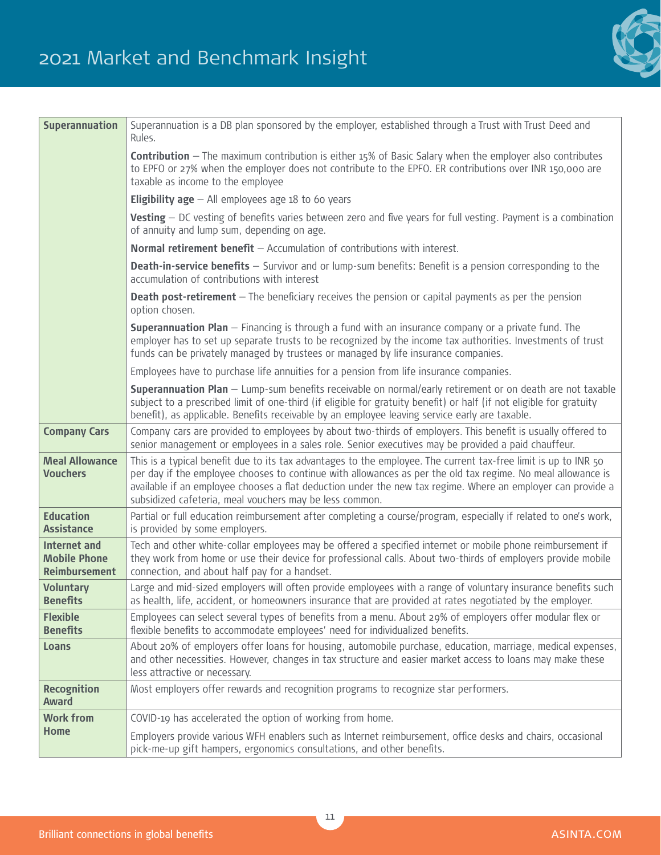

| <b>Superannuation</b>                                              | Superannuation is a DB plan sponsored by the employer, established through a Trust with Trust Deed and<br>Rules.                                                                                                                                                                                                                                                                                         |
|--------------------------------------------------------------------|----------------------------------------------------------------------------------------------------------------------------------------------------------------------------------------------------------------------------------------------------------------------------------------------------------------------------------------------------------------------------------------------------------|
|                                                                    | <b>Contribution</b> - The maximum contribution is either 15% of Basic Salary when the employer also contributes<br>to EPFO or 27% when the employer does not contribute to the EPFO. ER contributions over INR 150,000 are<br>taxable as income to the employee                                                                                                                                          |
|                                                                    | <b>Eligibility age</b> $-$ All employees age 18 to 60 years                                                                                                                                                                                                                                                                                                                                              |
|                                                                    | Vesting - DC vesting of benefits varies between zero and five years for full vesting. Payment is a combination<br>of annuity and lump sum, depending on age.                                                                                                                                                                                                                                             |
|                                                                    | Normal retirement benefit $-$ Accumulation of contributions with interest.                                                                                                                                                                                                                                                                                                                               |
|                                                                    | <b>Death-in-service benefits</b> - Survivor and or lump-sum benefits: Benefit is a pension corresponding to the<br>accumulation of contributions with interest                                                                                                                                                                                                                                           |
|                                                                    | <b>Death post-retirement</b> - The beneficiary receives the pension or capital payments as per the pension<br>option chosen.                                                                                                                                                                                                                                                                             |
|                                                                    | Superannuation Plan - Financing is through a fund with an insurance company or a private fund. The<br>employer has to set up separate trusts to be recognized by the income tax authorities. Investments of trust<br>funds can be privately managed by trustees or managed by life insurance companies.                                                                                                  |
|                                                                    | Employees have to purchase life annuities for a pension from life insurance companies.                                                                                                                                                                                                                                                                                                                   |
|                                                                    | Superannuation Plan - Lump-sum benefits receivable on normal/early retirement or on death are not taxable<br>subject to a prescribed limit of one-third (if eligible for gratuity benefit) or half (if not eligible for gratuity<br>benefit), as applicable. Benefits receivable by an employee leaving service early are taxable.                                                                       |
| <b>Company Cars</b>                                                | Company cars are provided to employees by about two-thirds of employers. This benefit is usually offered to<br>senior management or employees in a sales role. Senior executives may be provided a paid chauffeur.                                                                                                                                                                                       |
| <b>Meal Allowance</b><br><b>Vouchers</b>                           | This is a typical benefit due to its tax advantages to the employee. The current tax-free limit is up to INR 50<br>per day if the employee chooses to continue with allowances as per the old tax regime. No meal allowance is<br>available if an employee chooses a flat deduction under the new tax regime. Where an employer can provide a<br>subsidized cafeteria, meal vouchers may be less common. |
| <b>Education</b><br><b>Assistance</b>                              | Partial or full education reimbursement after completing a course/program, especially if related to one's work,<br>is provided by some employers.                                                                                                                                                                                                                                                        |
| <b>Internet and</b><br><b>Mobile Phone</b><br><b>Reimbursement</b> | Tech and other white-collar employees may be offered a specified internet or mobile phone reimbursement if<br>they work from home or use their device for professional calls. About two-thirds of employers provide mobile<br>connection, and about half pay for a handset.                                                                                                                              |
| <b>Voluntary</b><br><b>Benefits</b>                                | Large and mid-sized employers will often provide employees with a range of voluntary insurance benefits such<br>as health, life, accident, or homeowners insurance that are provided at rates negotiated by the employer.                                                                                                                                                                                |
| <b>Flexible</b><br><b>Benefits</b>                                 | Employees can select several types of benefits from a menu. About 29% of employers offer modular flex or<br>flexible benefits to accommodate employees' need for individualized benefits.                                                                                                                                                                                                                |
| Loans                                                              | About 20% of employers offer loans for housing, automobile purchase, education, marriage, medical expenses,<br>and other necessities. However, changes in tax structure and easier market access to loans may make these<br>less attractive or necessary.                                                                                                                                                |
| <b>Recognition</b><br><b>Award</b>                                 | Most employers offer rewards and recognition programs to recognize star performers.                                                                                                                                                                                                                                                                                                                      |
| <b>Work from</b>                                                   | COVID-19 has accelerated the option of working from home.                                                                                                                                                                                                                                                                                                                                                |
| <b>Home</b>                                                        | Employers provide various WFH enablers such as Internet reimbursement, office desks and chairs, occasional<br>pick-me-up gift hampers, ergonomics consultations, and other benefits.                                                                                                                                                                                                                     |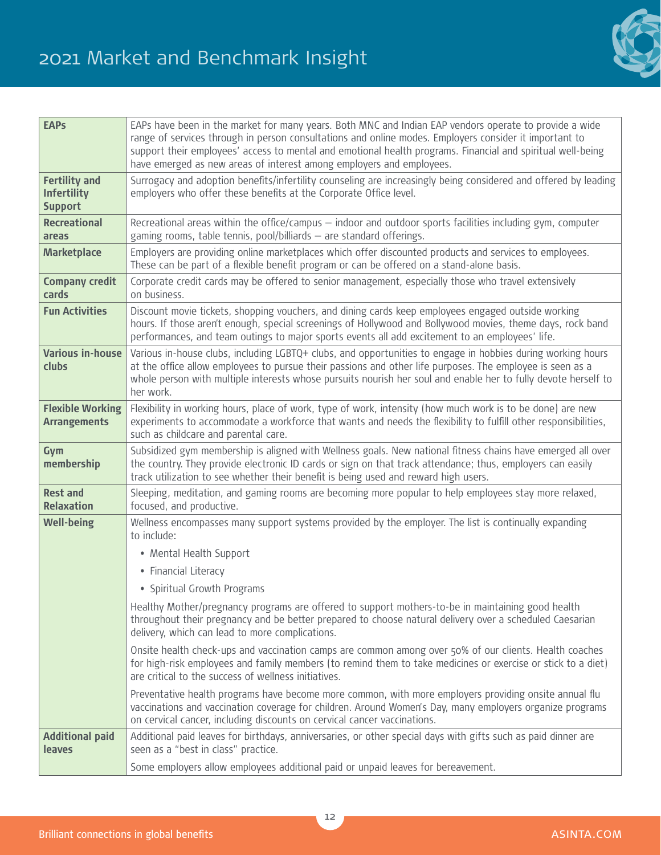

| <b>EAPs</b>                                                  | EAPs have been in the market for many years. Both MNC and Indian EAP vendors operate to provide a wide<br>range of services through in person consultations and online modes. Employers consider it important to<br>support their employees' access to mental and emotional health programs. Financial and spiritual well-being<br>have emerged as new areas of interest among employers and employees. |
|--------------------------------------------------------------|---------------------------------------------------------------------------------------------------------------------------------------------------------------------------------------------------------------------------------------------------------------------------------------------------------------------------------------------------------------------------------------------------------|
| <b>Fertility and</b><br><b>Infertility</b><br><b>Support</b> | Surrogacy and adoption benefits/infertility counseling are increasingly being considered and offered by leading<br>employers who offer these benefits at the Corporate Office level.                                                                                                                                                                                                                    |
| <b>Recreational</b><br>areas                                 | Recreational areas within the office/campus - indoor and outdoor sports facilities including gym, computer<br>gaming rooms, table tennis, pool/billiards - are standard offerings.                                                                                                                                                                                                                      |
| <b>Marketplace</b>                                           | Employers are providing online marketplaces which offer discounted products and services to employees.<br>These can be part of a flexible benefit program or can be offered on a stand-alone basis.                                                                                                                                                                                                     |
| <b>Company credit</b><br>cards                               | Corporate credit cards may be offered to senior management, especially those who travel extensively<br>on business.                                                                                                                                                                                                                                                                                     |
| <b>Fun Activities</b>                                        | Discount movie tickets, shopping vouchers, and dining cards keep employees engaged outside working<br>hours. If those aren't enough, special screenings of Hollywood and Bollywood movies, theme days, rock band<br>performances, and team outings to major sports events all add excitement to an employees' life.                                                                                     |
| <b>Various in-house</b><br>clubs                             | Various in-house clubs, including LGBTQ+ clubs, and opportunities to engage in hobbies during working hours<br>at the office allow employees to pursue their passions and other life purposes. The employee is seen as a<br>whole person with multiple interests whose pursuits nourish her soul and enable her to fully devote herself to<br>her work.                                                 |
| <b>Flexible Working</b><br><b>Arrangements</b>               | Flexibility in working hours, place of work, type of work, intensity (how much work is to be done) are new<br>experiments to accommodate a workforce that wants and needs the flexibility to fulfill other responsibilities,<br>such as childcare and parental care.                                                                                                                                    |
| Gym<br>membership                                            | Subsidized gym membership is aligned with Wellness goals. New national fitness chains have emerged all over<br>the country. They provide electronic ID cards or sign on that track attendance; thus, employers can easily<br>track utilization to see whether their benefit is being used and reward high users.                                                                                        |
| <b>Rest and</b><br><b>Relaxation</b>                         | Sleeping, meditation, and gaming rooms are becoming more popular to help employees stay more relaxed,<br>focused, and productive.                                                                                                                                                                                                                                                                       |
| <b>Well-being</b>                                            | Wellness encompasses many support systems provided by the employer. The list is continually expanding<br>to include:                                                                                                                                                                                                                                                                                    |
|                                                              | • Mental Health Support                                                                                                                                                                                                                                                                                                                                                                                 |
|                                                              | • Financial Literacy                                                                                                                                                                                                                                                                                                                                                                                    |
|                                                              | • Spiritual Growth Programs                                                                                                                                                                                                                                                                                                                                                                             |
|                                                              | Healthy Mother/pregnancy programs are offered to support mothers-to-be in maintaining good health<br>throughout their pregnancy and be better prepared to choose natural delivery over a scheduled Caesarian<br>delivery, which can lead to more complications.                                                                                                                                         |
|                                                              | Onsite health check-ups and vaccination camps are common among over 50% of our clients. Health coaches<br>for high-risk employees and family members (to remind them to take medicines or exercise or stick to a diet)<br>are critical to the success of wellness initiatives.                                                                                                                          |
|                                                              | Preventative health programs have become more common, with more employers providing onsite annual flu<br>vaccinations and vaccination coverage for children. Around Women's Day, many employers organize programs<br>on cervical cancer, including discounts on cervical cancer vaccinations.                                                                                                           |
| <b>Additional paid</b><br>leaves                             | Additional paid leaves for birthdays, anniversaries, or other special days with gifts such as paid dinner are<br>seen as a "best in class" practice.                                                                                                                                                                                                                                                    |
|                                                              | Some employers allow employees additional paid or unpaid leaves for bereavement.                                                                                                                                                                                                                                                                                                                        |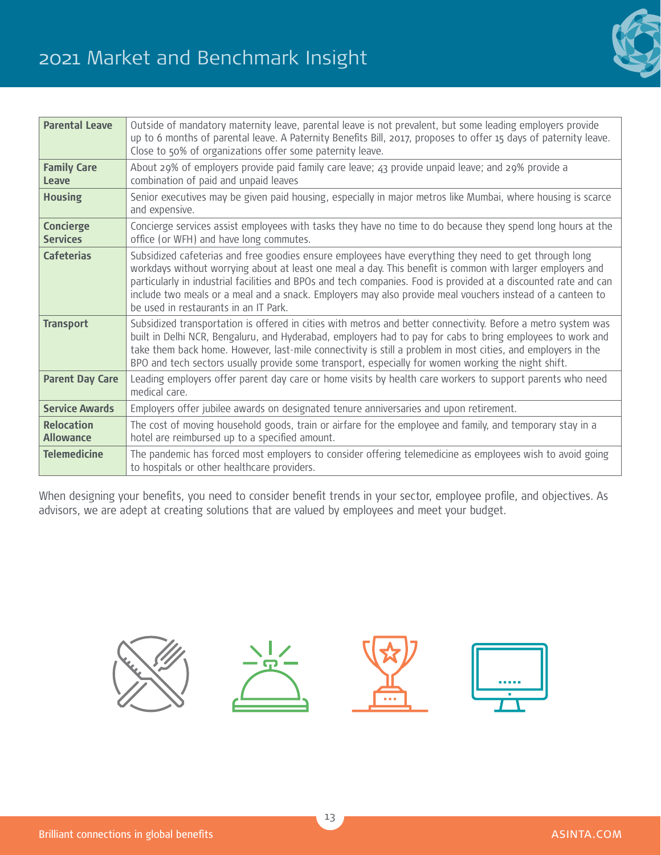## 2021 Market and Benchmark Insight



| <b>Parental Leave</b>                 | Outside of mandatory maternity leave, parental leave is not prevalent, but some leading employers provide<br>up to 6 months of parental leave. A Paternity Benefits Bill, 2017, proposes to offer 15 days of paternity leave.<br>Close to 50% of organizations offer some paternity leave.                                                                                                                                                                                                   |
|---------------------------------------|----------------------------------------------------------------------------------------------------------------------------------------------------------------------------------------------------------------------------------------------------------------------------------------------------------------------------------------------------------------------------------------------------------------------------------------------------------------------------------------------|
| <b>Family Care</b><br>Leave           | About 29% of employers provide paid family care leave; 43 provide unpaid leave; and 29% provide a<br>combination of paid and unpaid leaves                                                                                                                                                                                                                                                                                                                                                   |
| <b>Housing</b>                        | Senior executives may be given paid housing, especially in major metros like Mumbai, where housing is scarce<br>and expensive.                                                                                                                                                                                                                                                                                                                                                               |
| <b>Concierge</b><br><b>Services</b>   | Concierge services assist employees with tasks they have no time to do because they spend long hours at the<br>office (or WFH) and have long commutes.                                                                                                                                                                                                                                                                                                                                       |
| <b>Cafeterias</b>                     | Subsidized cafeterias and free goodies ensure employees have everything they need to get through long<br>workdays without worrying about at least one meal a day. This benefit is common with larger employers and<br>particularly in industrial facilities and BPOs and tech companies. Food is provided at a discounted rate and can<br>include two meals or a meal and a snack. Employers may also provide meal vouchers instead of a canteen to<br>be used in restaurants in an IT Park. |
| <b>Transport</b>                      | Subsidized transportation is offered in cities with metros and better connectivity. Before a metro system was<br>built in Delhi NCR, Bengaluru, and Hyderabad, employers had to pay for cabs to bring employees to work and<br>take them back home. However, last-mile connectivity is still a problem in most cities, and employers in the<br>BPO and tech sectors usually provide some transport, especially for women working the night shift.                                            |
| <b>Parent Day Care</b>                | Leading employers offer parent day care or home visits by health care workers to support parents who need<br>medical care.                                                                                                                                                                                                                                                                                                                                                                   |
| <b>Service Awards</b>                 | Employers offer jubilee awards on designated tenure anniversaries and upon retirement.                                                                                                                                                                                                                                                                                                                                                                                                       |
| <b>Relocation</b><br><b>Allowance</b> | The cost of moving household goods, train or airfare for the employee and family, and temporary stay in a<br>hotel are reimbursed up to a specified amount.                                                                                                                                                                                                                                                                                                                                  |
| <b>Telemedicine</b>                   | The pandemic has forced most employers to consider offering telemedicine as employees wish to avoid going<br>to hospitals or other healthcare providers.                                                                                                                                                                                                                                                                                                                                     |

When designing your benefits, you need to consider benefit trends in your sector, employee profile, and objectives. As advisors, we are adept at creating solutions that are valued by employees and meet your budget.

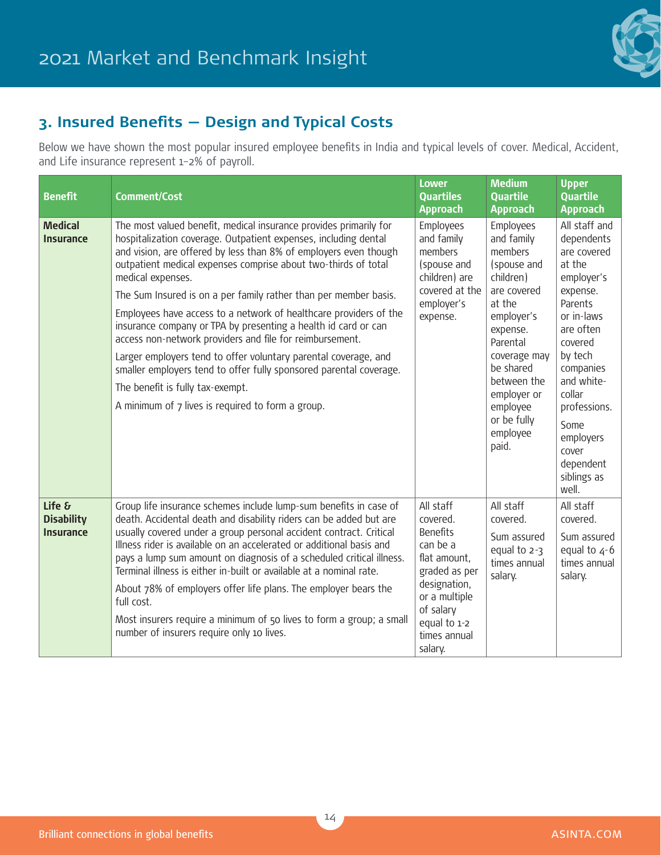

## **3. Insured Benefits — Design and Typical Costs**

Below we have shown the most popular insured employee benefits in India and typical levels of cover. Medical, Accident, and Life insurance represent 1–2% of payroll.

| <b>Benefit</b>                           | <b>Comment/Cost</b>                                                                                                                                                                                                                                                                                                                                                                                                                                                                                                                                                                                                                                                                                                                                                                                      | <b>Lower</b><br><b>Quartiles</b><br><b>Approach</b>                                                                                                                            | <b>Medium</b><br><b>Quartile</b><br><b>Approach</b>                                                                                                                                                                                      | <b>Upper</b><br><b>Quartile</b><br><b>Approach</b>                                                                                                                                                                                                                 |
|------------------------------------------|----------------------------------------------------------------------------------------------------------------------------------------------------------------------------------------------------------------------------------------------------------------------------------------------------------------------------------------------------------------------------------------------------------------------------------------------------------------------------------------------------------------------------------------------------------------------------------------------------------------------------------------------------------------------------------------------------------------------------------------------------------------------------------------------------------|--------------------------------------------------------------------------------------------------------------------------------------------------------------------------------|------------------------------------------------------------------------------------------------------------------------------------------------------------------------------------------------------------------------------------------|--------------------------------------------------------------------------------------------------------------------------------------------------------------------------------------------------------------------------------------------------------------------|
| <b>Medical</b><br><b>Insurance</b>       | The most valued benefit, medical insurance provides primarily for<br>hospitalization coverage. Outpatient expenses, including dental<br>and vision, are offered by less than 8% of employers even though<br>outpatient medical expenses comprise about two-thirds of total<br>medical expenses.<br>The Sum Insured is on a per family rather than per member basis.<br>Employees have access to a network of healthcare providers of the<br>insurance company or TPA by presenting a health id card or can<br>access non-network providers and file for reimbursement.<br>Larger employers tend to offer voluntary parental coverage, and<br>smaller employers tend to offer fully sponsored parental coverage.<br>The benefit is fully tax-exempt.<br>A minimum of 7 lives is required to form a group. | Employees<br>and family<br>members<br>(spouse and<br>children) are<br>covered at the<br>employer's<br>expense.                                                                 | Employees<br>and family<br>members<br>(spouse and<br>children)<br>are covered<br>at the<br>employer's<br>expense.<br>Parental<br>coverage may<br>be shared<br>between the<br>employer or<br>employee<br>or be fully<br>employee<br>paid. | All staff and<br>dependents<br>are covered<br>at the<br>employer's<br>expense.<br>Parents<br>or in-laws<br>are often<br>covered<br>by tech<br>companies<br>and white-<br>collar<br>professions.<br>Some<br>employers<br>cover<br>dependent<br>siblings as<br>well. |
| Life &<br><b>Disability</b><br>Insurance | Group life insurance schemes include lump-sum benefits in case of<br>death. Accidental death and disability riders can be added but are<br>usually covered under a group personal accident contract. Critical<br>Illness rider is available on an accelerated or additional basis and<br>pays a lump sum amount on diagnosis of a scheduled critical illness.<br>Terminal illness is either in-built or available at a nominal rate.<br>About 78% of employers offer life plans. The employer bears the<br>full cost.<br>Most insurers require a minimum of 50 lives to form a group; a small<br>number of insurers require only 10 lives.                                                                                                                                                               | All staff<br>covered.<br><b>Benefits</b><br>can be a<br>flat amount,<br>graded as per<br>designation,<br>or a multiple<br>of salary<br>equal to 1-2<br>times annual<br>salary. | All staff<br>covered.<br>Sum assured<br>equal to $2-3$<br>times annual<br>salary.                                                                                                                                                        | All staff<br>covered.<br>Sum assured<br>equal to $4-6$<br>times annual<br>salary.                                                                                                                                                                                  |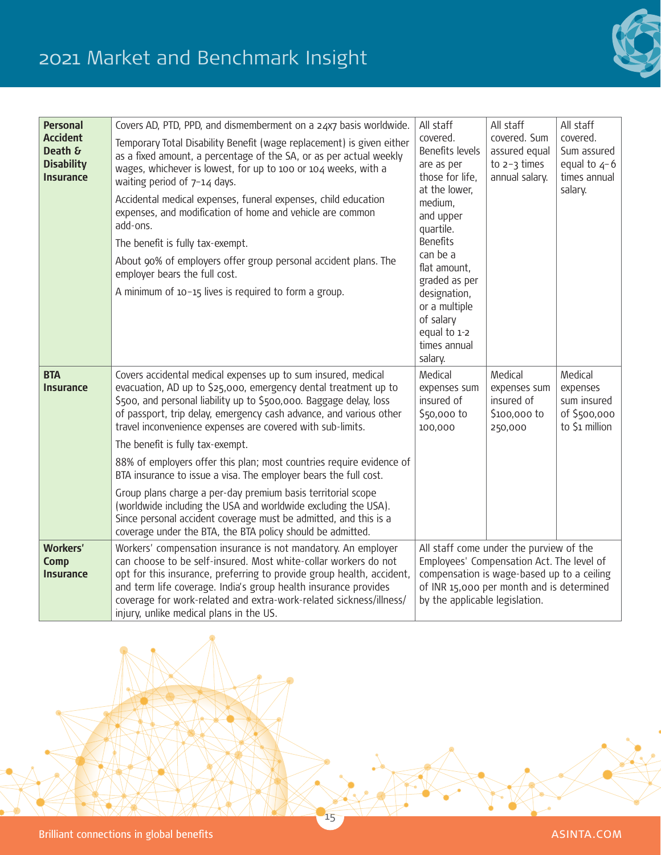## 2021 Market and Benchmark Insight



| <b>Personal</b>                                              | Covers AD, PTD, PPD, and dismemberment on a 24x7 basis worldwide.                                                                                                                                                                                                                                                                                                                                                                                                                                                                                                                           | All staff                                                                                                                                                                                                                                                        | All staff                                                         | All staff                                                            |
|--------------------------------------------------------------|---------------------------------------------------------------------------------------------------------------------------------------------------------------------------------------------------------------------------------------------------------------------------------------------------------------------------------------------------------------------------------------------------------------------------------------------------------------------------------------------------------------------------------------------------------------------------------------------|------------------------------------------------------------------------------------------------------------------------------------------------------------------------------------------------------------------------------------------------------------------|-------------------------------------------------------------------|----------------------------------------------------------------------|
| <b>Accident</b><br>Death &<br><b>Disability</b><br>Insurance | Temporary Total Disability Benefit (wage replacement) is given either<br>as a fixed amount, a percentage of the SA, or as per actual weekly<br>wages, whichever is lowest, for up to 100 or 104 weeks, with a<br>waiting period of $7-14$ days.<br>Accidental medical expenses, funeral expenses, child education<br>expenses, and modification of home and vehicle are common<br>add-ons.<br>The benefit is fully tax-exempt.<br>About 90% of employers offer group personal accident plans. The<br>employer bears the full cost.<br>A minimum of 10-15 lives is required to form a group. | covered.<br>Benefits levels<br>are as per<br>those for life,<br>at the lower,<br>medium,<br>and upper<br>quartile.<br><b>Benefits</b><br>can be a<br>flat amount,<br>graded as per<br>designation,<br>or a multiple<br>of salary<br>equal to 1-2<br>times annual | covered. Sum<br>assured equal<br>to $2-3$ times<br>annual salary. | covered.<br>Sum assured<br>equal to $4-6$<br>times annual<br>salary. |
|                                                              |                                                                                                                                                                                                                                                                                                                                                                                                                                                                                                                                                                                             | salary.                                                                                                                                                                                                                                                          |                                                                   |                                                                      |
| <b>BTA</b><br><b>Insurance</b>                               | Covers accidental medical expenses up to sum insured, medical<br>evacuation, AD up to \$25,000, emergency dental treatment up to<br>\$500, and personal liability up to \$500,000. Baggage delay, loss<br>of passport, trip delay, emergency cash advance, and various other<br>travel inconvenience expenses are covered with sub-limits.                                                                                                                                                                                                                                                  | Medical<br>expenses sum<br>insured of<br>\$50,000 to<br>100,000                                                                                                                                                                                                  | Medical<br>expenses sum<br>insured of<br>\$100,000 to<br>250,000  | Medical<br>expenses<br>sum insured<br>of \$500,000<br>to \$1 million |
|                                                              | The benefit is fully tax-exempt.                                                                                                                                                                                                                                                                                                                                                                                                                                                                                                                                                            |                                                                                                                                                                                                                                                                  |                                                                   |                                                                      |
|                                                              | 88% of employers offer this plan; most countries require evidence of<br>BTA insurance to issue a visa. The employer bears the full cost.                                                                                                                                                                                                                                                                                                                                                                                                                                                    |                                                                                                                                                                                                                                                                  |                                                                   |                                                                      |
|                                                              | Group plans charge a per-day premium basis territorial scope<br>(worldwide including the USA and worldwide excluding the USA).<br>Since personal accident coverage must be admitted, and this is a<br>coverage under the BTA, the BTA policy should be admitted.                                                                                                                                                                                                                                                                                                                            |                                                                                                                                                                                                                                                                  |                                                                   |                                                                      |
| <b>Workers'</b><br><b>Comp</b><br><b>Insurance</b>           | Workers' compensation insurance is not mandatory. An employer<br>can choose to be self-insured. Most white-collar workers do not<br>opt for this insurance, preferring to provide group health, accident,<br>and term life coverage. India's group health insurance provides<br>coverage for work-related and extra-work-related sickness/illness/<br>injury, unlike medical plans in the US.                                                                                                                                                                                               | All staff come under the purview of the<br>Employees' Compensation Act. The level of<br>compensation is wage-based up to a ceiling<br>of INR 15,000 per month and is determined<br>by the applicable legislation.                                                |                                                                   |                                                                      |

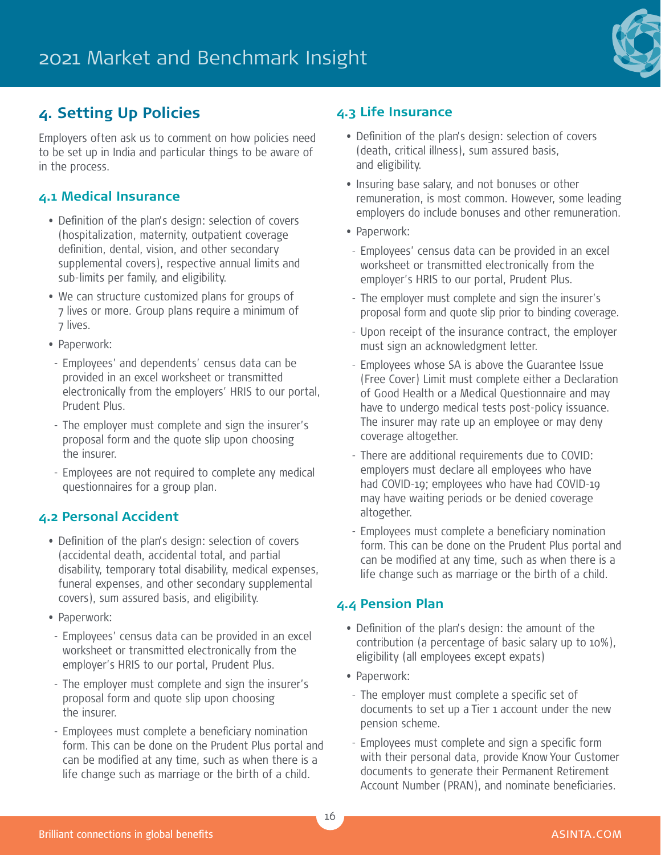

## **4. Setting Up Policies**

Employers often ask us to comment on how policies need to be set up in India and particular things to be aware of in the process.

#### **4.1 Medical Insurance**

- Definition of the plan's design: selection of covers (hospitalization, maternity, outpatient coverage definition, dental, vision, and other secondary supplemental covers), respective annual limits and sub-limits per family, and eligibility.
- We can structure customized plans for groups of 7 lives or more. Group plans require a minimum of 7 lives.
- Paperwork:
- Employees' and dependents' census data can be provided in an excel worksheet or transmitted electronically from the employers' HRIS to our portal, Prudent Plus.
- The employer must complete and sign the insurer's proposal form and the quote slip upon choosing the insurer.
- Employees are not required to complete any medical questionnaires for a group plan.

#### **4.2 Personal Accident**

- Definition of the plan's design: selection of covers (accidental death, accidental total, and partial disability, temporary total disability, medical expenses, funeral expenses, and other secondary supplemental covers), sum assured basis, and eligibility.
- Paperwork:
- Employees' census data can be provided in an excel worksheet or transmitted electronically from the employer's HRIS to our portal, Prudent Plus.
- The employer must complete and sign the insurer's proposal form and quote slip upon choosing the insurer.
- Employees must complete a beneficiary nomination form. This can be done on the Prudent Plus portal and can be modified at any time, such as when there is a life change such as marriage or the birth of a child.

#### **4.3 Life Insurance**

- Definition of the plan's design: selection of covers (death, critical illness), sum assured basis, and eligibility.
- Insuring base salary, and not bonuses or other remuneration, is most common. However, some leading employers do include bonuses and other remuneration.
- Paperwork:
- Employees' census data can be provided in an excel worksheet or transmitted electronically from the employer's HRIS to our portal, Prudent Plus.
- The employer must complete and sign the insurer's proposal form and quote slip prior to binding coverage.
- Upon receipt of the insurance contract, the employer must sign an acknowledgment letter.
- Employees whose SA is above the Guarantee Issue (Free Cover) Limit must complete either a Declaration of Good Health or a Medical Questionnaire and may have to undergo medical tests post-policy issuance. The insurer may rate up an employee or may deny coverage altogether.
- There are additional requirements due to COVID: employers must declare all employees who have had COVID-19; employees who have had COVID-19 may have waiting periods or be denied coverage altogether.
- Employees must complete a beneficiary nomination form. This can be done on the Prudent Plus portal and can be modified at any time, such as when there is a life change such as marriage or the birth of a child.

#### **4.4 Pension Plan**

- Definition of the plan's design: the amount of the contribution (a percentage of basic salary up to 10%), eligibility (all employees except expats)
- Paperwork:
- The employer must complete a specific set of documents to set up a Tier 1 account under the new pension scheme.
- Employees must complete and sign a specific form with their personal data, provide Know Your Customer documents to generate their Permanent Retirement Account Number (PRAN), and nominate beneficiaries.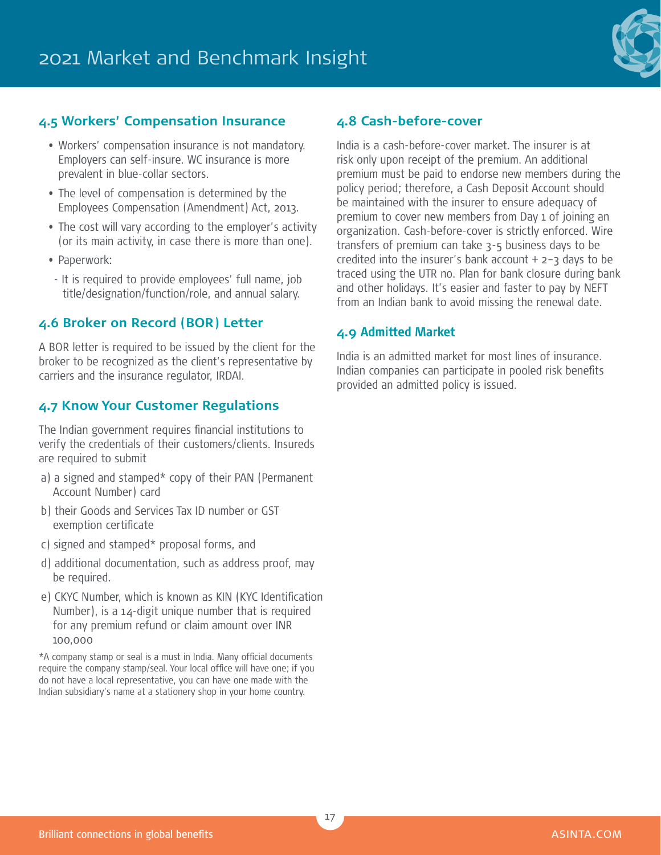

#### **4.5 Workers' Compensation Insurance**

- Workers' compensation insurance is not mandatory. Employers can self-insure. WC insurance is more prevalent in blue-collar sectors.
- The level of compensation is determined by the Employees Compensation (Amendment) Act, 2013.
- The cost will vary according to the employer's activity (or its main activity, in case there is more than one).
- Paperwork:
- It is required to provide employees' full name, job title/designation/function/role, and annual salary.

#### **4.6 Broker on Record (BOR) Letter**

A BOR letter is required to be issued by the client for the broker to be recognized as the client's representative by carriers and the insurance regulator, IRDAI.

#### **4.7 Know Your Customer Regulations**

The Indian government requires financial institutions to verify the credentials of their customers/clients. Insureds are required to submit

- a) a signed and stamped\* copy of their PAN (Permanent Account Number) card
- b) their Goods and Services Tax ID number or GST exemption certificate
- c) signed and stamped\* proposal forms, and
- d) additional documentation, such as address proof, may be required.
- e) CKYC Number, which is known as KIN (KYC Identification Number), is a 14-digit unique number that is required for any premium refund or claim amount over INR 100,000

\*A company stamp or seal is a must in India. Many official documents require the company stamp/seal. Your local office will have one; if you do not have a local representative, you can have one made with the Indian subsidiary's name at a stationery shop in your home country.

#### **4.8 Cash-before-cover**

India is a cash-before-cover market. The insurer is at risk only upon receipt of the premium. An additional premium must be paid to endorse new members during the policy period; therefore, a Cash Deposit Account should be maintained with the insurer to ensure adequacy of premium to cover new members from Day 1 of joining an organization. Cash-before-cover is strictly enforced. Wire transfers of premium can take 3-5 business days to be credited into the insurer's bank account  $+$  2-3 days to be traced using the UTR no. Plan for bank closure during bank and other holidays. It's easier and faster to pay by NEFT from an Indian bank to avoid missing the renewal date.

#### **4.9 Admitted Market**

India is an admitted market for most lines of insurance. Indian companies can participate in pooled risk benefits provided an admitted policy is issued.